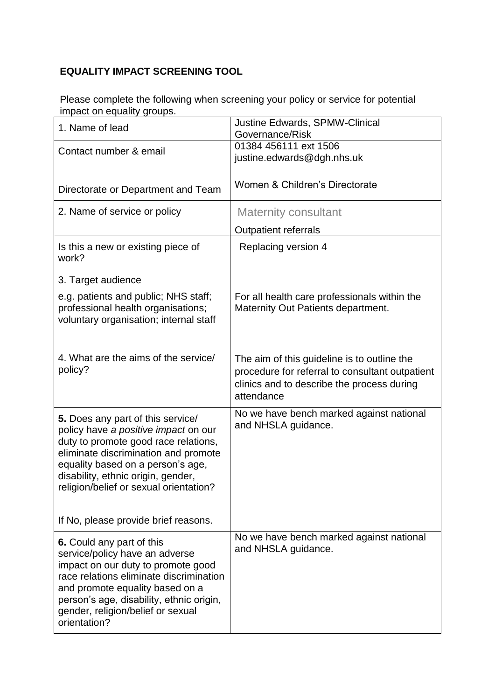## **EQUALITY IMPACT SCREENING TOOL**

Please complete the following when screening your policy or service for potential impact on equality groups.

| 1. Name of lead                                                                                                                                                                                                                                                                  | <b>Justine Edwards, SPMW-Clinical</b><br>Governance/Risk                                                                                                   |
|----------------------------------------------------------------------------------------------------------------------------------------------------------------------------------------------------------------------------------------------------------------------------------|------------------------------------------------------------------------------------------------------------------------------------------------------------|
| Contact number & email                                                                                                                                                                                                                                                           | 01384 456111 ext 1506<br>justine.edwards@dgh.nhs.uk                                                                                                        |
| Directorate or Department and Team                                                                                                                                                                                                                                               | Women & Children's Directorate                                                                                                                             |
| 2. Name of service or policy                                                                                                                                                                                                                                                     | <b>Maternity consultant</b>                                                                                                                                |
|                                                                                                                                                                                                                                                                                  | <b>Outpatient referrals</b>                                                                                                                                |
| Is this a new or existing piece of<br>work?                                                                                                                                                                                                                                      | Replacing version 4                                                                                                                                        |
| 3. Target audience                                                                                                                                                                                                                                                               |                                                                                                                                                            |
| e.g. patients and public; NHS staff;<br>professional health organisations;<br>voluntary organisation; internal staff                                                                                                                                                             | For all health care professionals within the<br>Maternity Out Patients department.                                                                         |
| 4. What are the aims of the service/<br>policy?                                                                                                                                                                                                                                  | The aim of this guideline is to outline the<br>procedure for referral to consultant outpatient<br>clinics and to describe the process during<br>attendance |
| 5. Does any part of this service/<br>policy have a positive impact on our<br>duty to promote good race relations,<br>eliminate discrimination and promote<br>equality based on a person's age,<br>disability, ethnic origin, gender,<br>religion/belief or sexual orientation?   | No we have bench marked against national<br>and NHSLA guidance.                                                                                            |
| If No, please provide brief reasons.                                                                                                                                                                                                                                             |                                                                                                                                                            |
| 6. Could any part of this<br>service/policy have an adverse<br>impact on our duty to promote good<br>race relations eliminate discrimination<br>and promote equality based on a<br>person's age, disability, ethnic origin,<br>gender, religion/belief or sexual<br>orientation? | No we have bench marked against national<br>and NHSLA guidance.                                                                                            |